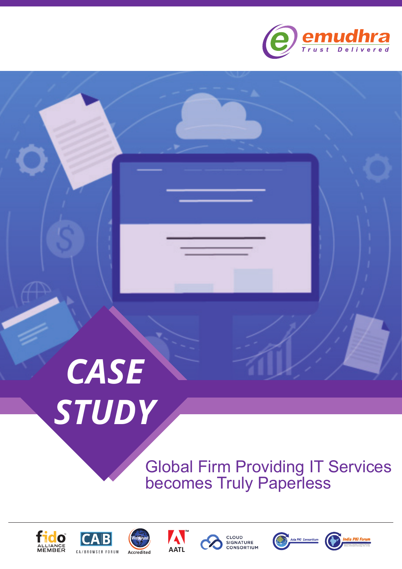

# *CASE STUDY*

# Global Firm Providing IT Services becomes Truly Paperless







A







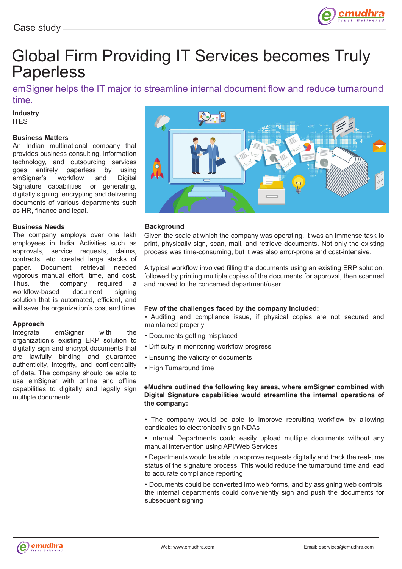

## Global Firm Providing IT Services becomes Truly Paperless

emSigner helps the IT major to streamline internal document flow and reduce turnaround time.

#### **Industry** ITES

#### **Business Matters**

An Indian multinational company that provides business consulting, information technology, and outsourcing services goes entirely paperless by using emSigner's workflow and Digital Signature capabilities for generating, digitally signing, encrypting and delivering documents of various departments such as HR, finance and legal.

#### **Business Needs**

The company employs over one lakh employees in India. Activities such as approvals, service requests, claims, contracts, etc. created large stacks of paper. Document retrieval needed vigorous manual effort, time, and cost. Thus, the company required a workflow-based document signing solution that is automated, efficient, and will save the organization's cost and time.

## **Approach**

emSigner with the organization's existing ERP solution to digitally sign and encrypt documents that are lawfully binding and guarantee authenticity, integrity, and confidentiality of data. The company should be able to use emSigner with online and offline capabilities to digitally and legally sign multiple documents.



#### **Background**

Given the scale at which the company was operating, it was an immense task to print, physically sign, scan, mail, and retrieve documents. Not only the existing process was time-consuming, but it was also error-prone and cost-intensive.

A typical workflow involved filling the documents using an existing ERP solution, followed by printing multiple copies of the documents for approval, then scanned and moved to the concerned department/user.

#### **Few of the challenges faced by the company included:**

• Auditing and compliance issue, if physical copies are not secured and maintained properly

- Documents getting misplaced
- Difficulty in monitoring workflow progress
- Ensuring the validity of documents
- High Turnaround time

#### **eMudhra outlined the following key areas, where emSigner combined with Digital Signature capabilities would streamline the internal operations of the company:**

• The company would be able to improve recruiting workflow by allowing candidates to electronically sign NDAs

- Internal Departments could easily upload multiple documents without any manual intervention using API/Web Services
- Departments would be able to approve requests digitally and track the real-time status of the signature process. This would reduce the turnaround time and lead to accurate compliance reporting

• Documents could be converted into web forms, and by assigning web controls, the internal departments could conveniently sign and push the documents for subsequent signing

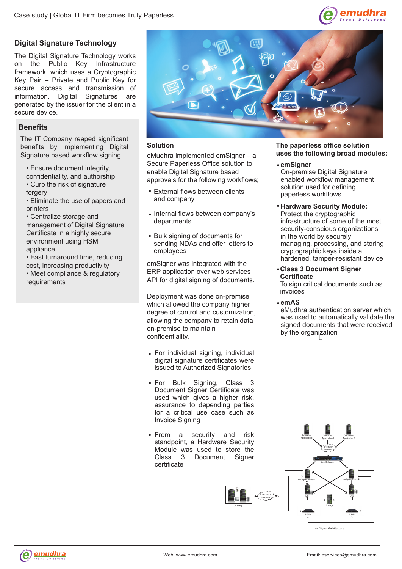

#### **Digital Signature Technology**

The Digital Signature Technology works on the Public Key Infrastructure framework, which uses a Cryptographic Key Pair – Private and Public Key for secure access and transmission of information. Digital Signatures are generated by the issuer for the client in a secure device.

#### **Benefits**

The IT Company reaped significant benefits by implementing Digital Signature based workflow signing.

- Ensure document integrity,
- confidentiality, and authorship • Curb the risk of signature forgery
- Eliminate the use of papers and printers
- Centralize storage and

management of Digital Signature Certificate in a highly secure environment using HSM appliance

- Fast turnaround time, reducing cost, increasing productivity
- Meet compliance & regulatory requirements



#### **Solution**

eMudhra implemented emSigner – a Secure Paperless Office solution to enable Digital Signature based approvals for the following workflows;

- External flows between clients and company
- Internal flows between company's departments
- Bulk signing of documents for sending NDAs and offer letters to employees

emSigner was integrated with the ERP application over web services API for digital signing of documents.

Deployment was done on-premise which allowed the company higher degree of control and customization, allowing the company to retain data on-premise to maintain confidentiality.

- For individual signing, individual digital signature certificates were issued to Authorized Signatories
- For Bulk Signing, Class 3 Document Signer Certificate was used which gives a higher risk, assurance to depending parties for a critical use case such as Invoice Signing
- From a security and risk standpoint, a Hardware Security Module was used to store the<br>Class 3 Document Signer Document Signer certificate



#### **The paperless office solution uses the following broad modules:**

#### **emSigner**

On-premise Digital Signature enabled workflow management solution used for defining paperless workflows

- **Hardware Security Module:** Protect the cryptographic infrastructure of some of the most security-conscious organizations in the world by securely managing, processing, and storing cryptographic keys inside a hardened, tamper-resistant device
- **Class 3 Document Signer Certificate**

To sign critical documents such as invoices

**emAS**

eMudhra authentication server which was used to automatically validate the signed documents that were received by the organization L